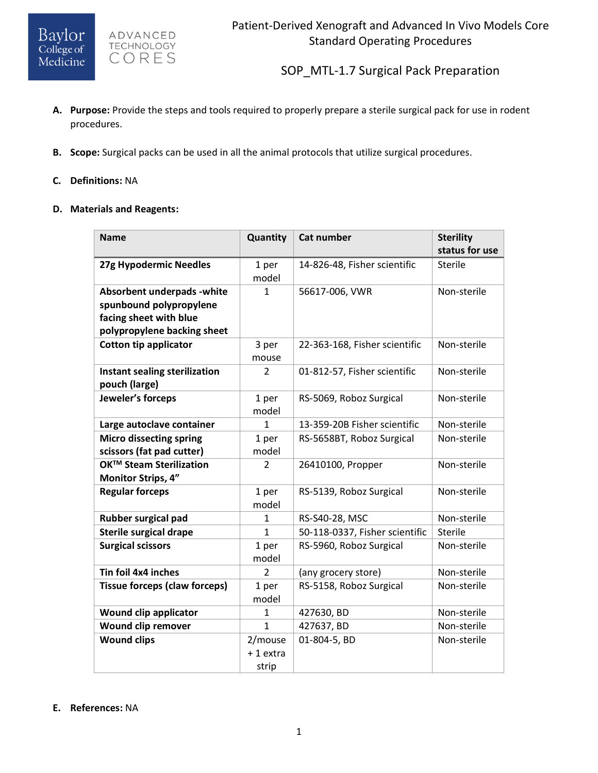ADVANCED TECHNOLOGY CORES

SOP\_MTL-1.7 Surgical Pack Preparation

- **A. Purpose:** Provide the steps and tools required to properly prepare a sterile surgical pack for use in rodent procedures.
- **B. Scope:** Surgical packs can be used in all the animal protocols that utilize surgical procedures.

### **C. Definitions:** NA

#### **D. Materials and Reagents:**

| <b>Name</b>                          | Quantity       | <b>Cat number</b>              | <b>Sterility</b> |
|--------------------------------------|----------------|--------------------------------|------------------|
|                                      |                |                                | status for use   |
| 27g Hypodermic Needles               | 1 per<br>model | 14-826-48, Fisher scientific   | <b>Sterile</b>   |
| Absorbent underpads - white          | $\mathbf{1}$   | 56617-006, VWR                 | Non-sterile      |
| spunbound polypropylene              |                |                                |                  |
| facing sheet with blue               |                |                                |                  |
| polypropylene backing sheet          |                |                                |                  |
| <b>Cotton tip applicator</b>         | 3 per          | 22-363-168, Fisher scientific  | Non-sterile      |
|                                      | mouse          |                                |                  |
| Instant sealing sterilization        | 2              | 01-812-57, Fisher scientific   | Non-sterile      |
| pouch (large)                        |                |                                |                  |
| Jeweler's forceps                    | 1 per          | RS-5069, Roboz Surgical        | Non-sterile      |
|                                      | model          |                                |                  |
| Large autoclave container            | $\mathbf{1}$   | 13-359-20B Fisher scientific   | Non-sterile      |
| <b>Micro dissecting spring</b>       | 1 per          | RS-5658BT, Roboz Surgical      | Non-sterile      |
| scissors (fat pad cutter)            | model          |                                |                  |
| OK™ Steam Sterilization              | $\overline{2}$ | 26410100, Propper              | Non-sterile      |
| Monitor Strips, 4"                   |                |                                |                  |
| <b>Regular forceps</b>               | 1 per          | RS-5139, Roboz Surgical        | Non-sterile      |
|                                      | model          |                                |                  |
| Rubber surgical pad                  | 1              | RS-S40-28, MSC                 | Non-sterile      |
| <b>Sterile surgical drape</b>        | $\mathbf{1}$   | 50-118-0337, Fisher scientific | <b>Sterile</b>   |
| <b>Surgical scissors</b>             | 1 per          | RS-5960, Roboz Surgical        | Non-sterile      |
|                                      | model          |                                |                  |
| Tin foil 4x4 inches                  | $\overline{2}$ | (any grocery store)            | Non-sterile      |
| <b>Tissue forceps (claw forceps)</b> | 1 per          | RS-5158, Roboz Surgical        | Non-sterile      |
|                                      | model          |                                |                  |
| Wound clip applicator                | 1              | 427630, BD                     | Non-sterile      |
| Wound clip remover                   | $\mathbf{1}$   | 427637, BD                     | Non-sterile      |
| <b>Wound clips</b>                   | 2/mouse        | 01-804-5, BD                   | Non-sterile      |
|                                      | +1 extra       |                                |                  |
|                                      | strip          |                                |                  |

### **E. References:** NA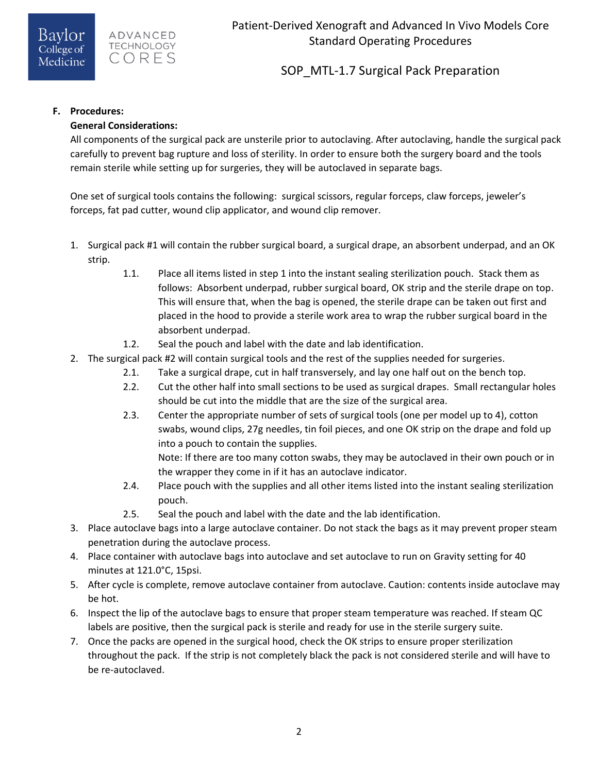SOP MTL-1.7 Surgical Pack Preparation

## **F. Procedures:**

## **General Considerations:**

All components of the surgical pack are unsterile prior to autoclaving. After autoclaving, handle the surgical pack carefully to prevent bag rupture and loss of sterility. In order to ensure both the surgery board and the tools remain sterile while setting up for surgeries, they will be autoclaved in separate bags.

One set of surgical tools contains the following: surgical scissors, regular forceps, claw forceps, jeweler's forceps, fat pad cutter, wound clip applicator, and wound clip remover.

- 1. Surgical pack #1 will contain the rubber surgical board, a surgical drape, an absorbent underpad, and an OK strip.
	- 1.1. Place all items listed in step 1 into the instant sealing sterilization pouch. Stack them as follows: Absorbent underpad, rubber surgical board, OK strip and the sterile drape on top. This will ensure that, when the bag is opened, the sterile drape can be taken out first and placed in the hood to provide a sterile work area to wrap the rubber surgical board in the absorbent underpad.
	- 1.2. Seal the pouch and label with the date and lab identification.
- 2. The surgical pack #2 will contain surgical tools and the rest of the supplies needed for surgeries.
	- 2.1. Take a surgical drape, cut in half transversely, and lay one half out on the bench top.
	- 2.2. Cut the other half into small sections to be used as surgical drapes. Small rectangular holes should be cut into the middle that are the size of the surgical area.
	- 2.3. Center the appropriate number of sets of surgical tools (one per model up to 4), cotton swabs, wound clips, 27g needles, tin foil pieces, and one OK strip on the drape and fold up into a pouch to contain the supplies.

Note: If there are too many cotton swabs, they may be autoclaved in their own pouch or in the wrapper they come in if it has an autoclave indicator.

- 2.4. Place pouch with the supplies and all other items listed into the instant sealing sterilization pouch.
- 2.5. Seal the pouch and label with the date and the lab identification.
- 3. Place autoclave bags into a large autoclave container. Do not stack the bags as it may prevent proper steam penetration during the autoclave process.
- 4. Place container with autoclave bags into autoclave and set autoclave to run on Gravity setting for 40 minutes at 121.0°C, 15psi.
- 5. After cycle is complete, remove autoclave container from autoclave. Caution: contents inside autoclave may be hot.
- 6. Inspect the lip of the autoclave bags to ensure that proper steam temperature was reached. If steam QC labels are positive, then the surgical pack is sterile and ready for use in the sterile surgery suite.
- 7. Once the packs are opened in the surgical hood, check the OK strips to ensure proper sterilization throughout the pack. If the strip is not completely black the pack is not considered sterile and will have to be re-autoclaved.